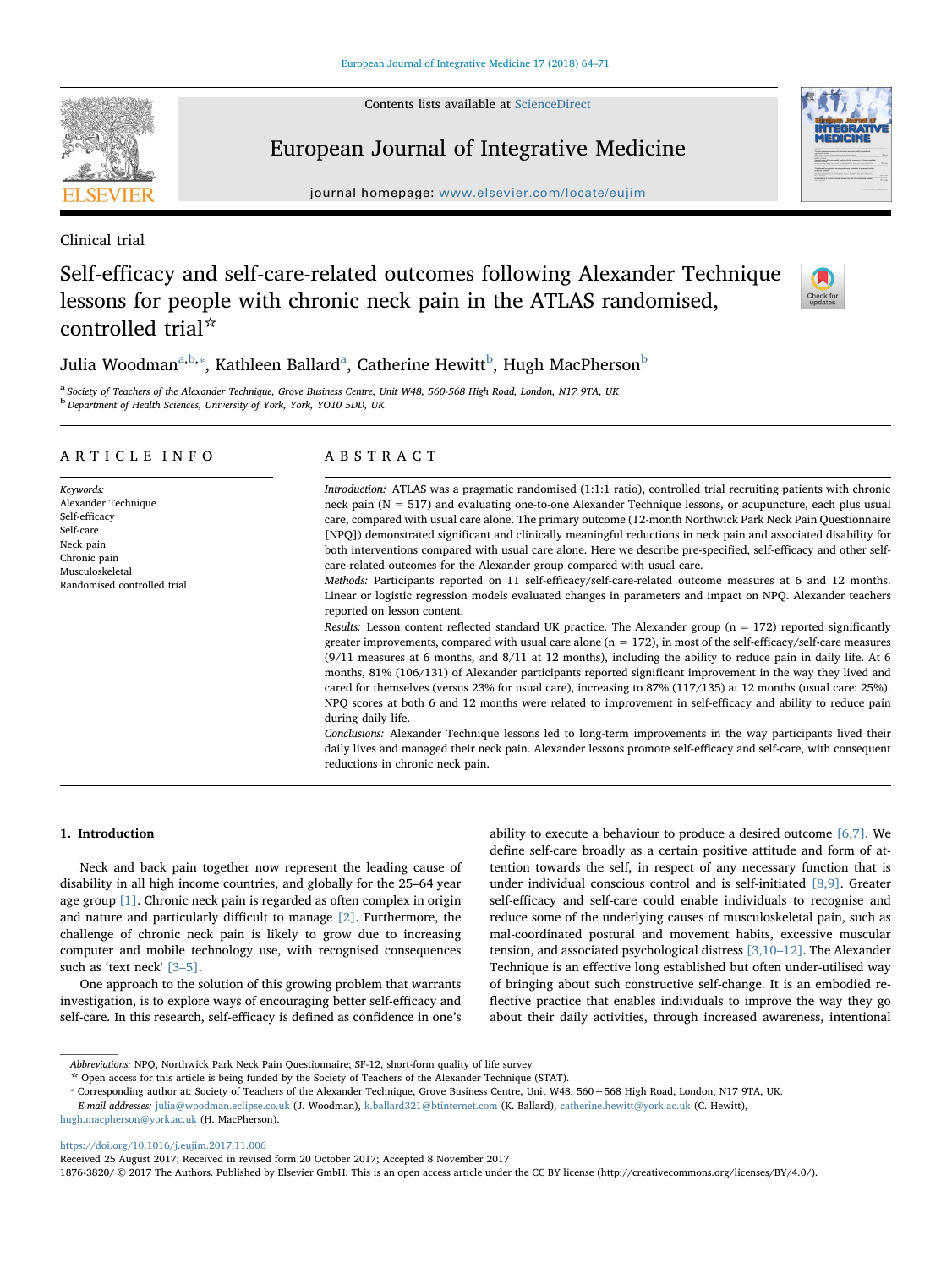Contents lists available at [ScienceDirect](http://www.sciencedirect.com/science/journal/18763820)



# European Journal of Integrative Medicine

journal homepage: [www.elsevier.com/locate/eujim](https://www.elsevier.com/locate/eujim)

Clinical trial

# Self-efficacy and self-care-related outcomes following Alexander Technique lessons for people with chronic neck pain in the ATLAS randomised, controlled trial☆



Juli[a](#page-0-0) Woodman $^{\mathrm{a,b,*}},$  $^{\mathrm{a,b,*}},$  $^{\mathrm{a,b,*}},$  $^{\mathrm{a,b,*}},$  Kathleen Ballard $^{\mathrm{a}},$  Catherine Hewitt $^{\mathrm{b}}$ , Hugh MacPherson $^{\mathrm{b}}$ 

<span id="page-0-1"></span><span id="page-0-0"></span><sup>a</sup> Society of Teachers of the Alexander Technique, Grove Business Centre, Unit W48, 560-568 High Road, London, N17 9TA, UK  $b$  Department of Health Sciences, University of York, York, YO10 5DD, UK

## ARTICLE INFO

Keywords: Alexander Technique Self-efficacy Self-care Neck pain Chronic pain Musculoskeletal Randomised controlled trial

## ABSTRACT

Introduction: ATLAS was a pragmatic randomised (1:1:1 ratio), controlled trial recruiting patients with chronic neck pain (N = 517) and evaluating one-to-one Alexander Technique lessons, or acupuncture, each plus usual care, compared with usual care alone. The primary outcome (12-month Northwick Park Neck Pain Questionnaire [NPQ]) demonstrated significant and clinically meaningful reductions in neck pain and associated disability for both interventions compared with usual care alone. Here we describe pre-specified, self-efficacy and other selfcare-related outcomes for the Alexander group compared with usual care.

Methods: Participants reported on 11 self-efficacy/self-care-related outcome measures at 6 and 12 months. Linear or logistic regression models evaluated changes in parameters and impact on NPQ. Alexander teachers reported on lesson content.

Results: Lesson content reflected standard UK practice. The Alexander group  $(n = 172)$  reported significantly greater improvements, compared with usual care alone  $(n = 172)$ , in most of the self-efficacy/self-care measures (9/11 measures at 6 months, and 8/11 at 12 months), including the ability to reduce pain in daily life. At 6 months, 81% (106/131) of Alexander participants reported significant improvement in the way they lived and cared for themselves (versus 23% for usual care), increasing to 87% (117/135) at 12 months (usual care: 25%). NPQ scores at both 6 and 12 months were related to improvement in self-efficacy and ability to reduce pain during daily life.

Conclusions: Alexander Technique lessons led to long-term improvements in the way participants lived their daily lives and managed their neck pain. Alexander lessons promote self-efficacy and self-care, with consequent reductions in chronic neck pain.

# 1. Introduction

Neck and back pain together now represent the leading cause of disability in all high income countries, and globally for the 25–64 year age group [\[1\].](#page-6-0) Chronic neck pain is regarded as often complex in origin and nature and particularly difficult to manage [\[2\].](#page-6-1) Furthermore, the challenge of chronic neck pain is likely to grow due to increasing computer and mobile technology use, with recognised consequences such as 'text neck' [3-[5\]](#page-6-2).

One approach to the solution of this growing problem that warrants investigation, is to explore ways of encouraging better self-efficacy and self-care. In this research, self-efficacy is defined as confidence in one's ability to execute a behaviour to produce a desired outcome [\[6,7\].](#page-6-3) We define self-care broadly as a certain positive attitude and form of attention towards the self, in respect of any necessary function that is under individual conscious control and is self-initiated [\[8,9\].](#page-6-4) Greater self-efficacy and self-care could enable individuals to recognise and reduce some of the underlying causes of musculoskeletal pain, such as mal-coordinated postural and movement habits, excessive muscular tension, and associated psychological distress [\[3,10](#page-6-2)–12]. The Alexander Technique is an effective long established but often under-utilised way of bringing about such constructive self-change. It is an embodied reflective practice that enables individuals to improve the way they go about their daily activities, through increased awareness, intentional

<https://doi.org/10.1016/j.eujim.2017.11.006>

Abbreviations: NPQ, Northwick Park Neck Pain Questionnaire; SF-12, short-form quality of life survey

<span id="page-0-2"></span><sup>\*</sup> Open access for this article is being funded by the Society of Teachers of the Alexander Technique (STAT).<br>\* Corresponding author at: Society of Teachers of the Alexander Technique, Grove Business Centre, Unit W48, 560–5

E-mail addresses: [julia@woodman.eclipse.co.uk](mailto:julia@woodman.eclipse.co.uk) (J. Woodman), [k.ballard321@btinternet.com](mailto:k.ballard321@btinternet.com) (K. Ballard), [catherine.hewitt@york.ac.uk](mailto:catherine.hewitt@york.ac.uk) (C. Hewitt), [hugh.macpherson@york.ac.uk](mailto:hugh.macpherson@york.ac.uk) (H. MacPherson).

Received 25 August 2017; Received in revised form 20 October 2017; Accepted 8 November 2017

<sup>1876-3820/ © 2017</sup> The Authors. Published by Elsevier GmbH. This is an open access article under the CC BY license (http://creativecommons.org/licenses/BY/4.0/).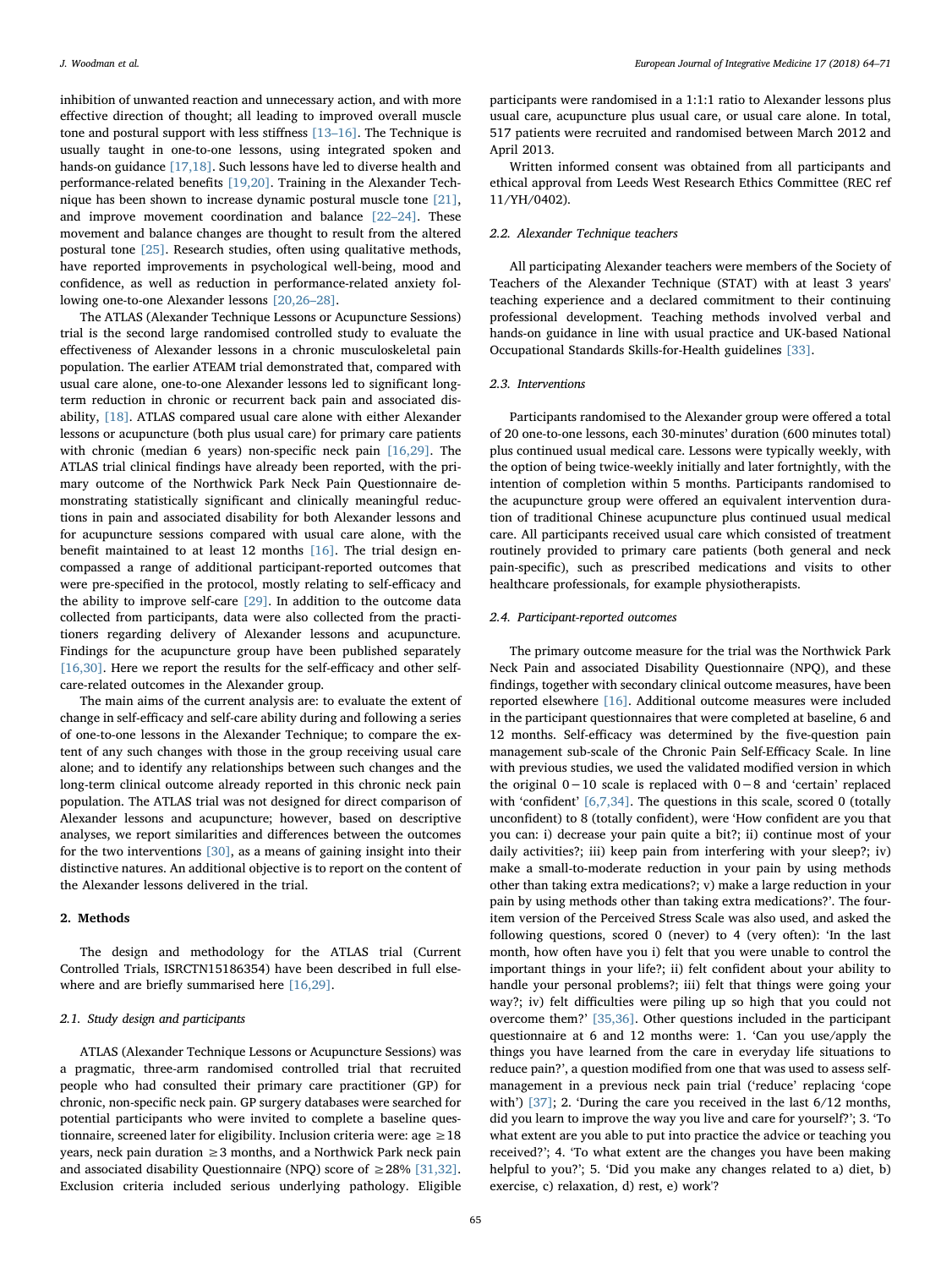inhibition of unwanted reaction and unnecessary action, and with more effective direction of thought; all leading to improved overall muscle tone and postural support with less stiffness [13–[16\].](#page-6-5) The Technique is usually taught in one-to-one lessons, using integrated spoken and hands-on guidance [\[17,18\].](#page-6-6) Such lessons have led to diverse health and performance-related benefits [\[19,20\]](#page-6-7). Training in the Alexander Technique has been shown to increase dynamic postural muscle tone [\[21\]](#page-6-8), and improve movement coordination and balance [\[22](#page-7-0)–24]. These movement and balance changes are thought to result from the altered postural tone [\[25\]](#page-7-1). Research studies, often using qualitative methods, have reported improvements in psychological well-being, mood and confidence, as well as reduction in performance-related anxiety following one-to-one Alexander lessons [\[20,26](#page-6-9)–28].

The ATLAS (Alexander Technique Lessons or Acupuncture Sessions) trial is the second large randomised controlled study to evaluate the effectiveness of Alexander lessons in a chronic musculoskeletal pain population. The earlier ATEAM trial demonstrated that, compared with usual care alone, one-to-one Alexander lessons led to significant longterm reduction in chronic or recurrent back pain and associated disability, [\[18\].](#page-6-10) ATLAS compared usual care alone with either Alexander lessons or acupuncture (both plus usual care) for primary care patients with chronic (median 6 years) non-specific neck pain [\[16,29\]](#page-6-11). The ATLAS trial clinical findings have already been reported, with the primary outcome of the Northwick Park Neck Pain Questionnaire demonstrating statistically significant and clinically meaningful reductions in pain and associated disability for both Alexander lessons and for acupuncture sessions compared with usual care alone, with the benefit maintained to at least 12 months [\[16\].](#page-6-11) The trial design encompassed a range of additional participant-reported outcomes that were pre-specified in the protocol, mostly relating to self-efficacy and the ability to improve self-care [\[29\].](#page-7-2) In addition to the outcome data collected from participants, data were also collected from the practitioners regarding delivery of Alexander lessons and acupuncture. Findings for the acupuncture group have been published separately [\[16,30\].](#page-6-11) Here we report the results for the self-efficacy and other selfcare-related outcomes in the Alexander group.

The main aims of the current analysis are: to evaluate the extent of change in self-efficacy and self-care ability during and following a series of one-to-one lessons in the Alexander Technique; to compare the extent of any such changes with those in the group receiving usual care alone; and to identify any relationships between such changes and the long-term clinical outcome already reported in this chronic neck pain population. The ATLAS trial was not designed for direct comparison of Alexander lessons and acupuncture; however, based on descriptive analyses, we report similarities and differences between the outcomes for the two interventions [\[30\]](#page-7-3), as a means of gaining insight into their distinctive natures. An additional objective is to report on the content of the Alexander lessons delivered in the trial.

## 2. Methods

The design and methodology for the ATLAS trial (Current Controlled Trials, ISRCTN15186354) have been described in full elsewhere and are briefly summarised here [\[16,29\]](#page-6-11).

### 2.1. Study design and participants

ATLAS (Alexander Technique Lessons or Acupuncture Sessions) was a pragmatic, three-arm randomised controlled trial that recruited people who had consulted their primary care practitioner (GP) for chronic, non-specific neck pain. GP surgery databases were searched for potential participants who were invited to complete a baseline questionnaire, screened later for eligibility. Inclusion criteria were: age  $\geq$  18 years, neck pain duration  $\geq$  3 months, and a Northwick Park neck pain and associated disability Questionnaire (NPQ) score of  $\geq$  28% [\[31,32\]](#page-7-4). Exclusion criteria included serious underlying pathology. Eligible

participants were randomised in a 1:1:1 ratio to Alexander lessons plus usual care, acupuncture plus usual care, or usual care alone. In total, 517 patients were recruited and randomised between March 2012 and April 2013.

Written informed consent was obtained from all participants and ethical approval from Leeds West Research Ethics Committee (REC ref 11/YH/0402).

## 2.2. Alexander Technique teachers

All participating Alexander teachers were members of the Society of Teachers of the Alexander Technique (STAT) with at least 3 years' teaching experience and a declared commitment to their continuing professional development. Teaching methods involved verbal and hands-on guidance in line with usual practice and UK-based National Occupational Standards Skills-for-Health guidelines [\[33\].](#page-7-5)

## 2.3. Interventions

Participants randomised to the Alexander group were offered a total of 20 one-to-one lessons, each 30-minutes' duration (600 minutes total) plus continued usual medical care. Lessons were typically weekly, with the option of being twice-weekly initially and later fortnightly, with the intention of completion within 5 months. Participants randomised to the acupuncture group were offered an equivalent intervention duration of traditional Chinese acupuncture plus continued usual medical care. All participants received usual care which consisted of treatment routinely provided to primary care patients (both general and neck pain-specific), such as prescribed medications and visits to other healthcare professionals, for example physiotherapists.

#### 2.4. Participant-reported outcomes

The primary outcome measure for the trial was the Northwick Park Neck Pain and associated Disability Questionnaire (NPQ), and these findings, together with secondary clinical outcome measures, have been reported elsewhere [\[16\]](#page-6-11). Additional outcome measures were included in the participant questionnaires that were completed at baseline, 6 and 12 months. Self-efficacy was determined by the five-question pain management sub-scale of the Chronic Pain Self-Efficacy Scale. In line with previous studies, we used the validated modified version in which the original 0−10 scale is replaced with 0−8 and 'certain' replaced with 'confident' [\[6,7,34\]](#page-6-3). The questions in this scale, scored 0 (totally unconfident) to 8 (totally confident), were 'How confident are you that you can: i) decrease your pain quite a bit?; ii) continue most of your daily activities?; iii) keep pain from interfering with your sleep?; iv) make a small-to-moderate reduction in your pain by using methods other than taking extra medications?; v) make a large reduction in your pain by using methods other than taking extra medications?'. The fouritem version of the Perceived Stress Scale was also used, and asked the following questions, scored 0 (never) to 4 (very often): 'In the last month, how often have you i) felt that you were unable to control the important things in your life?; ii) felt confident about your ability to handle your personal problems?; iii) felt that things were going your way?; iv) felt difficulties were piling up so high that you could not overcome them?' [\[35,36\]](#page-7-6). Other questions included in the participant questionnaire at 6 and 12 months were: 1. 'Can you use/apply the things you have learned from the care in everyday life situations to reduce pain?', a question modified from one that was used to assess selfmanagement in a previous neck pain trial ('reduce' replacing 'cope with') [\[37\]](#page-7-7); 2. 'During the care you received in the last  $6/12$  months, did you learn to improve the way you live and care for yourself?'; 3. 'To what extent are you able to put into practice the advice or teaching you received?'; 4. 'To what extent are the changes you have been making helpful to you?'; 5. 'Did you make any changes related to a) diet, b) exercise, c) relaxation, d) rest, e) work'?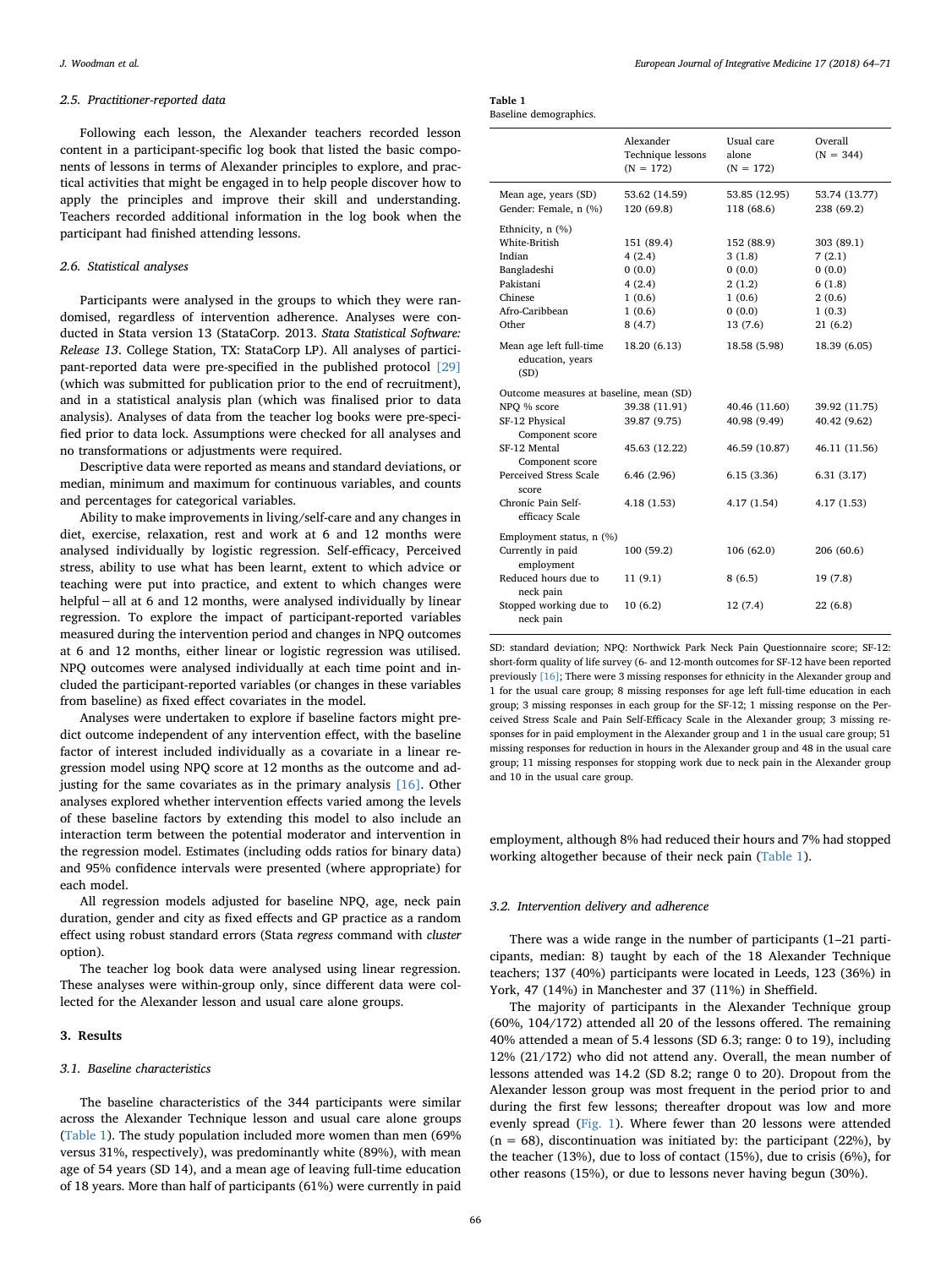#### 2.5. Practitioner-reported data

Following each lesson, the Alexander teachers recorded lesson content in a participant-specific log book that listed the basic components of lessons in terms of Alexander principles to explore, and practical activities that might be engaged in to help people discover how to apply the principles and improve their skill and understanding. Teachers recorded additional information in the log book when the participant had finished attending lessons.

### 2.6. Statistical analyses

Participants were analysed in the groups to which they were randomised, regardless of intervention adherence. Analyses were conducted in Stata version 13 (StataCorp. 2013. Stata Statistical Software: Release 13. College Station, TX: StataCorp LP). All analyses of participant-reported data were pre-specified in the published protocol [\[29\]](#page-7-2) (which was submitted for publication prior to the end of recruitment), and in a statistical analysis plan (which was finalised prior to data analysis). Analyses of data from the teacher log books were pre-specified prior to data lock. Assumptions were checked for all analyses and no transformations or adjustments were required.

Descriptive data were reported as means and standard deviations, or median, minimum and maximum for continuous variables, and counts and percentages for categorical variables.

Ability to make improvements in living/self-care and any changes in diet, exercise, relaxation, rest and work at 6 and 12 months were analysed individually by logistic regression. Self-efficacy, Perceived stress, ability to use what has been learnt, extent to which advice or teaching were put into practice, and extent to which changes were helpful−all at 6 and 12 months, were analysed individually by linear regression. To explore the impact of participant-reported variables measured during the intervention period and changes in NPQ outcomes at 6 and 12 months, either linear or logistic regression was utilised. NPQ outcomes were analysed individually at each time point and included the participant-reported variables (or changes in these variables from baseline) as fixed effect covariates in the model.

Analyses were undertaken to explore if baseline factors might predict outcome independent of any intervention effect, with the baseline factor of interest included individually as a covariate in a linear regression model using NPQ score at 12 months as the outcome and adjusting for the same covariates as in the primary analysis  $[16]$ . Other analyses explored whether intervention effects varied among the levels of these baseline factors by extending this model to also include an interaction term between the potential moderator and intervention in the regression model. Estimates (including odds ratios for binary data) and 95% confidence intervals were presented (where appropriate) for each model.

All regression models adjusted for baseline NPQ, age, neck pain duration, gender and city as fixed effects and GP practice as a random effect using robust standard errors (Stata regress command with cluster option).

The teacher log book data were analysed using linear regression. These analyses were within-group only, since different data were collected for the Alexander lesson and usual care alone groups.

### 3. Results

#### 3.1. Baseline characteristics

The baseline characteristics of the 344 participants were similar across the Alexander Technique lesson and usual care alone groups ([Table 1](#page-2-0)). The study population included more women than men (69% versus 31%, respectively), was predominantly white (89%), with mean age of 54 years (SD 14), and a mean age of leaving full-time education of 18 years. More than half of participants (61%) were currently in paid

<span id="page-2-0"></span>

| Table 1               |  |
|-----------------------|--|
| Baseline demographics |  |

|                                                     | Alexander<br>Technique lessons<br>$(N = 172)$ | Usual care<br>alone<br>$(N = 172)$ | Overall<br>$(N = 344)$      |
|-----------------------------------------------------|-----------------------------------------------|------------------------------------|-----------------------------|
| Mean age, years (SD)<br>Gender: Female, n (%)       | 53.62 (14.59)<br>120 (69.8)                   | 53.85 (12.95)<br>118 (68.6)        | 53.74 (13.77)<br>238 (69.2) |
| Ethnicity, $n$ $(\%)$                               |                                               |                                    |                             |
| White-British                                       | 151 (89.4)                                    | 152 (88.9)                         | 303 (89.1)                  |
| Indian                                              | 4(2.4)                                        | 3(1.8)                             | 7(2.1)                      |
| Bangladeshi                                         | 0(0.0)                                        | 0(0.0)                             | 0(0.0)                      |
| Pakistani                                           | 4(2.4)                                        | 2(1.2)                             | 6(1.8)                      |
| Chinese                                             | 1(0.6)                                        | 1(0.6)                             | 2(0.6)                      |
| Afro-Caribbean                                      | 1(0.6)                                        | 0(0.0)                             | 1(0.3)                      |
| Other                                               | 8(4.7)                                        | 13(7.6)                            | 21(6.2)                     |
| Mean age left full-time<br>education, years<br>(SD) | 18.20 (6.13)                                  | 18.58 (5.98)                       | 18.39 (6.05)                |
| Outcome measures at baseline, mean (SD)             |                                               |                                    |                             |
| NPO % score                                         | 39.38 (11.91)                                 | 40.46 (11.60)                      | 39.92 (11.75)               |
| SF-12 Physical<br>Component score                   | 39.87 (9.75)                                  | 40.98 (9.49)                       | 40.42 (9.62)                |
| SF-12 Mental<br>Component score                     | 45.63 (12.22)                                 | 46.59 (10.87)                      | 46.11 (11.56)               |
| Perceived Stress Scale<br>score                     | 6.46(2.96)                                    | 6.15(3.36)                         | 6.31(3.17)                  |
| Chronic Pain Self-<br>efficacy Scale                | 4.18 (1.53)                                   | 4.17(1.54)                         | 4.17(1.53)                  |
| Employment status, n (%)                            |                                               |                                    |                             |
| Currently in paid<br>employment                     | 100(59.2)                                     | 106 (62.0)                         | 206 (60.6)                  |
| Reduced hours due to<br>neck pain                   | 11(9.1)                                       | 8(6.5)                             | 19 (7.8)                    |
| Stopped working due to<br>neck pain                 | 10(6.2)                                       | 12(7.4)                            | 22(6.8)                     |

SD: standard deviation; NPQ: Northwick Park Neck Pain Questionnaire score; SF-12: short-form quality of life survey (6- and 12-month outcomes for SF-12 have been reported previously [\[16\]](#page-6-11); There were 3 missing responses for ethnicity in the Alexander group and 1 for the usual care group; 8 missing responses for age left full-time education in each group; 3 missing responses in each group for the SF-12; 1 missing response on the Perceived Stress Scale and Pain Self-Efficacy Scale in the Alexander group; 3 missing responses for in paid employment in the Alexander group and 1 in the usual care group; 51 missing responses for reduction in hours in the Alexander group and 48 in the usual care group; 11 missing responses for stopping work due to neck pain in the Alexander group and 10 in the usual care group.

employment, although 8% had reduced their hours and 7% had stopped working altogether because of their neck pain [\(Table](#page-2-0) 1).

## 3.2. Intervention delivery and adherence

There was a wide range in the number of participants (1–21 participants, median: 8) taught by each of the 18 Alexander Technique teachers; 137 (40%) participants were located in Leeds, 123 (36%) in York, 47 (14%) in Manchester and 37 (11%) in Sheffield.

The majority of participants in the Alexander Technique group (60%, 104/172) attended all 20 of the lessons offered. The remaining 40% attended a mean of 5.4 lessons (SD 6.3; range: 0 to 19), including 12% (21/172) who did not attend any. Overall, the mean number of lessons attended was 14.2 (SD 8.2; range 0 to 20). Dropout from the Alexander lesson group was most frequent in the period prior to and during the first few lessons; thereafter dropout was low and more evenly spread ([Fig. 1](#page-3-0)). Where fewer than 20 lessons were attended  $(n = 68)$ , discontinuation was initiated by: the participant (22%), by the teacher (13%), due to loss of contact (15%), due to crisis (6%), for other reasons (15%), or due to lessons never having begun (30%).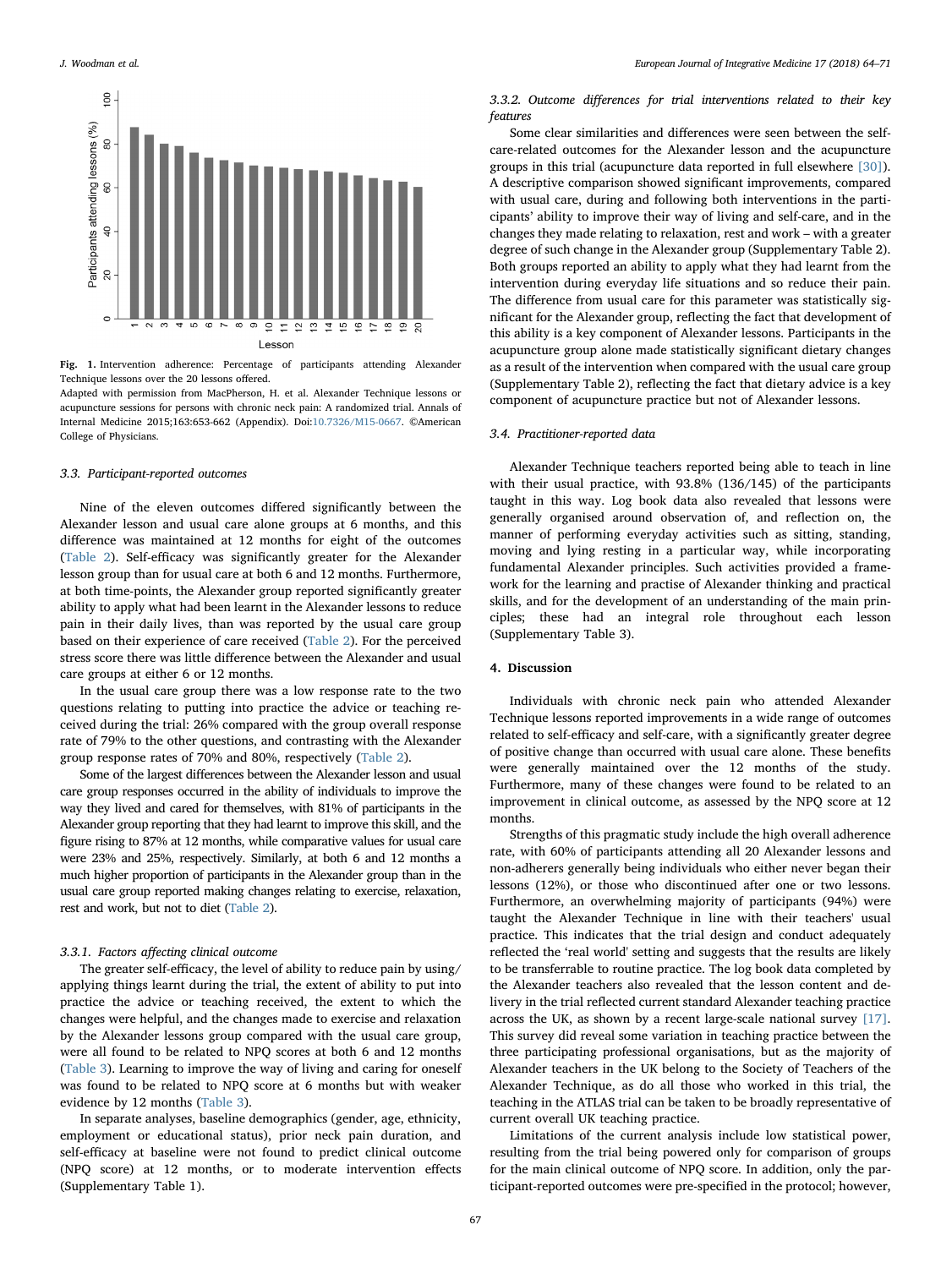<span id="page-3-0"></span>

Fig. 1. Intervention adherence: Percentage of participants attending Alexander Technique lessons over the 20 lessons offered.

Adapted with permission from MacPherson, H. et al. Alexander Technique lessons or acupuncture sessions for persons with chronic neck pain: A randomized trial. Annals of Internal Medicine 2015;163:653-662 (Appendix). Doi:[10.7326/M15-0667](http://doi.org/10.7326/M15-0667). ©American College of Physicians.

### 3.3. Participant-reported outcomes

Nine of the eleven outcomes differed significantly between the Alexander lesson and usual care alone groups at 6 months, and this difference was maintained at 12 months for eight of the outcomes ([Table 2](#page-4-0)). Self-efficacy was significantly greater for the Alexander lesson group than for usual care at both 6 and 12 months. Furthermore, at both time-points, the Alexander group reported significantly greater ability to apply what had been learnt in the Alexander lessons to reduce pain in their daily lives, than was reported by the usual care group based on their experience of care received ([Table 2](#page-4-0)). For the perceived stress score there was little difference between the Alexander and usual care groups at either 6 or 12 months.

In the usual care group there was a low response rate to the two questions relating to putting into practice the advice or teaching received during the trial: 26% compared with the group overall response rate of 79% to the other questions, and contrasting with the Alexander group response rates of 70% and 80%, respectively [\(Table 2\)](#page-4-0).

Some of the largest differences between the Alexander lesson and usual care group responses occurred in the ability of individuals to improve the way they lived and cared for themselves, with 81% of participants in the Alexander group reporting that they had learnt to improve this skill, and the figure rising to 87% at 12 months, while comparative values for usual care were 23% and 25%, respectively. Similarly, at both 6 and 12 months a much higher proportion of participants in the Alexander group than in the usual care group reported making changes relating to exercise, relaxation, rest and work, but not to diet [\(Table 2\)](#page-4-0).

## 3.3.1. Factors affecting clinical outcome

The greater self-efficacy, the level of ability to reduce pain by using/ applying things learnt during the trial, the extent of ability to put into practice the advice or teaching received, the extent to which the changes were helpful, and the changes made to exercise and relaxation by the Alexander lessons group compared with the usual care group, were all found to be related to NPQ scores at both 6 and 12 months ([Table 3](#page-5-0)). Learning to improve the way of living and caring for oneself was found to be related to NPQ score at 6 months but with weaker evidence by 12 months [\(Table 3\)](#page-5-0).

In separate analyses, baseline demographics (gender, age, ethnicity, employment or educational status), prior neck pain duration, and self-efficacy at baseline were not found to predict clinical outcome (NPQ score) at 12 months, or to moderate intervention effects (Supplementary Table 1).

## 3.3.2. Outcome differences for trial interventions related to their key features

Some clear similarities and differences were seen between the selfcare-related outcomes for the Alexander lesson and the acupuncture groups in this trial (acupuncture data reported in full elsewhere [\[30\]](#page-7-3)). A descriptive comparison showed significant improvements, compared with usual care, during and following both interventions in the participants' ability to improve their way of living and self-care, and in the changes they made relating to relaxation, rest and work – with a greater degree of such change in the Alexander group (Supplementary Table 2). Both groups reported an ability to apply what they had learnt from the intervention during everyday life situations and so reduce their pain. The difference from usual care for this parameter was statistically significant for the Alexander group, reflecting the fact that development of this ability is a key component of Alexander lessons. Participants in the acupuncture group alone made statistically significant dietary changes as a result of the intervention when compared with the usual care group (Supplementary Table 2), reflecting the fact that dietary advice is a key component of acupuncture practice but not of Alexander lessons.

#### 3.4. Practitioner-reported data

Alexander Technique teachers reported being able to teach in line with their usual practice, with 93.8% (136/145) of the participants taught in this way. Log book data also revealed that lessons were generally organised around observation of, and reflection on, the manner of performing everyday activities such as sitting, standing, moving and lying resting in a particular way, while incorporating fundamental Alexander principles. Such activities provided a framework for the learning and practise of Alexander thinking and practical skills, and for the development of an understanding of the main principles; these had an integral role throughout each lesson (Supplementary Table 3).

## 4. Discussion

Individuals with chronic neck pain who attended Alexander Technique lessons reported improvements in a wide range of outcomes related to self-efficacy and self-care, with a significantly greater degree of positive change than occurred with usual care alone. These benefits were generally maintained over the 12 months of the study. Furthermore, many of these changes were found to be related to an improvement in clinical outcome, as assessed by the NPQ score at 12 months.

Strengths of this pragmatic study include the high overall adherence rate, with 60% of participants attending all 20 Alexander lessons and non-adherers generally being individuals who either never began their lessons (12%), or those who discontinued after one or two lessons. Furthermore, an overwhelming majority of participants (94%) were taught the Alexander Technique in line with their teachers' usual practice. This indicates that the trial design and conduct adequately reflected the 'real world' setting and suggests that the results are likely to be transferrable to routine practice. The log book data completed by the Alexander teachers also revealed that the lesson content and delivery in the trial reflected current standard Alexander teaching practice across the UK, as shown by a recent large-scale national survey [\[17\]](#page-6-6). This survey did reveal some variation in teaching practice between the three participating professional organisations, but as the majority of Alexander teachers in the UK belong to the Society of Teachers of the Alexander Technique, as do all those who worked in this trial, the teaching in the ATLAS trial can be taken to be broadly representative of current overall UK teaching practice.

Limitations of the current analysis include low statistical power, resulting from the trial being powered only for comparison of groups for the main clinical outcome of NPQ score. In addition, only the participant-reported outcomes were pre-specified in the protocol; however,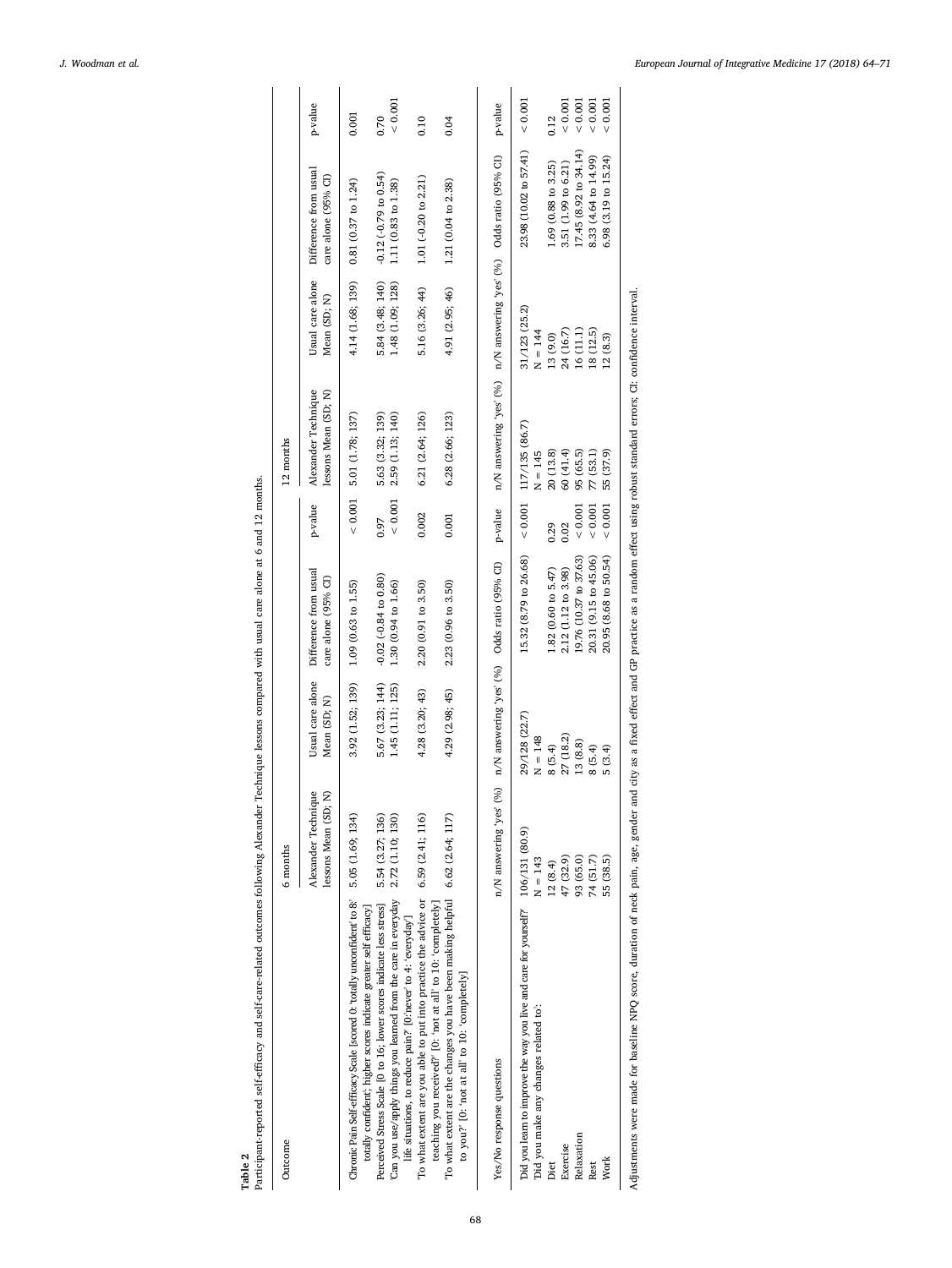Table 2

Participant-reported self-efficacy and self-care-related outcomes following Alexander Technique lessons compared with usual care alone at 6 and 12 months. Participant-reported self-efficacy and self-care-related outcomes following Alexander Technique lessons compared with usual care alone at 6 and 12 months.

<span id="page-4-0"></span>

| Outcome                                                                                                                                                                                                | 6 months                                    |                                                         |                                                         |                     | 12 months                                                           |                                      |                                                    |               |
|--------------------------------------------------------------------------------------------------------------------------------------------------------------------------------------------------------|---------------------------------------------|---------------------------------------------------------|---------------------------------------------------------|---------------------|---------------------------------------------------------------------|--------------------------------------|----------------------------------------------------|---------------|
|                                                                                                                                                                                                        | Alexander Technique<br>lessons Mean (SD; N) | Usual care alone<br>Mean (SD; N)                        | Difference from usual<br>care alone (95% CI)            | p-value             | Alexander Technique<br>lessons Mean (SD; N)                         | Usual care alone<br>Mean (SD; N)     | Difference from usual<br>care alone $(95%$ $\Box)$ | p-value       |
| Chronic Pain Self-efficacy Scale [scored 0: 'totally unconfident' to 8:<br>totally confident'; higher scores indicate greater self efficacy]                                                           | 5.05 (1.69; 134)                            | 3.92 (1.52; 139)                                        | $1.09(0.63 \text{ to } 1.55)$                           | ${}< 0.001$         | 5.01 (1.78; 137)                                                    | 4.14 (1.68; 139)                     | $0.81(0.37$ to $1.24$ )                            | 0.001         |
| Can you use/apply things you learned from the care in everyday<br>Perceived Stress Scale [0 to 16; lower scores indicate less stress]<br>life situations, to reduce pain? [0: never' to 4: 'everyday'] | 2.72 (1.10; 130)<br>5.54 (3.27; 136)        | 5.67 (3.23; 144)<br>1.45 (1.11; 125)                    | $-0.02 (-0.84 \text{ to } 0.80)$<br>1.30 (0.94 to 1.66) | ${}< 0.001$<br>0.97 | 2.59 (1.13; 140)<br>5.63 (3.32; 139)                                | 5.84 (3.48; 140)<br>1.48 (1.09; 128) | $-0.12 (-0.79)$ to $0.54$ )<br>1.11 (0.83 to 1.38) | 0.001<br>0.70 |
| To what extent are you able to put into practice the advice or<br>teaching you received?' [O: 'not at all' to 10: 'completely]                                                                         | 6.59(2.41; 116)                             | 4.28 (3.20; 43)                                         | 2.20(0.91 to 3.50)                                      | 0.002               | 6.21 (2.64; 126)                                                    | 5.16 (3.26; 44)                      | 1.01 $(-0.20$ to $2.21)$                           | 0.10          |
| To what extent are the changes you have been making helpful 6.62 (2.64; 117)<br>to you?' [0: 'not at all' to 10: 'completely]                                                                          |                                             | 4.29 (2.98; 45)                                         | 2.23 (0.96 to 3.50)                                     | 0.001               | 6.28 (2.66; 123)                                                    | 4.91 (2.95; 46)                      | 1.21 (0.04 to 2.38)                                | 0.04          |
| Yes/No response questions                                                                                                                                                                              | yes' guinewana N/u                          | $(15\%$ obsets a color ( $\%$ ) (%) Odds ratio (95% CI) |                                                         | p-value             | n/N answering 'yes' (%) n/N answering 'yes' (%) Odds ratio (95% CI) |                                      |                                                    | p-value       |
| Did you learn to improve the way you live and care for yourself? 106/131 (80.9)<br>Did you make any changes related to:                                                                                | $N = 143$                                   | 29/128 (22.7)<br>$N = 148$                              | 15.32 (8.79 to 26.68)                                   | ${}< 0.001$         | 117/135 (86.7)<br>$N = 145$                                         | 31/123 (25.2)<br>$N = 144$           | 23.98 (10.02 to 57.41)                             | < 0.001       |
| Diet                                                                                                                                                                                                   | 12(8.4)                                     | 8(5.4)                                                  | $1.82(0.60 \text{ to } 5.47)$                           | 0.29                | 20(13.8)                                                            | 13 (9.0)                             | 1.69 (0.88 to 3.25)                                | 0.12          |
| Exercise                                                                                                                                                                                               | 47 (32.9)                                   | 27 (18.2)                                               | 2.12 (1.12 to 3.98)                                     | 0.02                | 60 (41.4)                                                           | 24 (16.7)                            | 3.51 (1.99 to 6.21)                                | 0.001         |
| Relaxation                                                                                                                                                                                             | 93 (65.0)                                   | 13 (8.8)                                                | 19.76 (10.37 to 37.63)                                  | ${}< 0.001$         | 95 (65.5)                                                           | 16(11.1)                             | 17.45 (8.92 to 34.14)                              | 0.001         |
| Rest                                                                                                                                                                                                   | 74 (51.7)                                   | 8(5.4)                                                  | 20.31 (9.15 to 45.06)                                   | ${}< 0.001$         | 77 (53.1)                                                           | 18 (12.5)                            | 8.33 (4.64 to 14.99)                               | < 0.001       |
| Work                                                                                                                                                                                                   | 55 (38.5)                                   | 5(3.4)                                                  | 20.95 (8.68 to 50.54)                                   | < 0.001             | 55 (37.9)                                                           | 12(8.3)                              | $6.98(3.19)$ to $15.24$                            | < 0.001       |

Adjustments were made for baseline NPQ score, duration of neck pain, age, gender and city as a fixed effect and GP practice as a random effect using robust standard errors; CI: confidence interval. Adjustments were made for baseline NPQ score, duration of neck pain, age, gender and city as a fixed effect and GP practice as a random effect using robust standard errors; CI: confidence interval.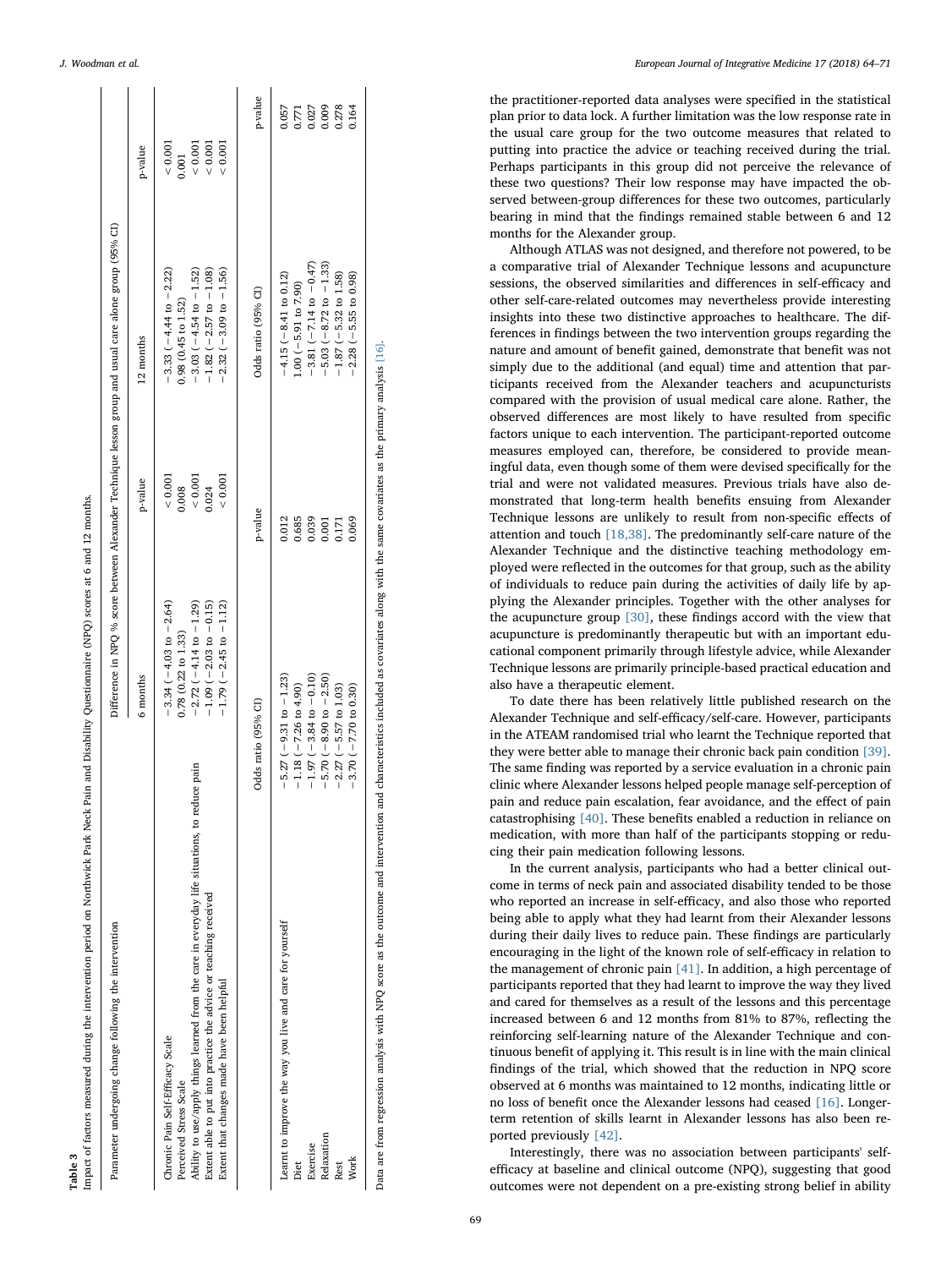<span id="page-5-0"></span>

| Parameter undergoing change following the intervention                                        |                                  |           | Difference in NPQ % score between Alexander Technique lesson group and usual care alone group (95% CI) |               |
|-----------------------------------------------------------------------------------------------|----------------------------------|-----------|--------------------------------------------------------------------------------------------------------|---------------|
|                                                                                               | 6 months                         | p-value   | 12 months                                                                                              | p-value       |
| Chronic Pain Self-Efficacy Scale                                                              | $-3.34 (-4.03 to -2.64)$         | < 0.001   | $-3.33(-4.44 \text{ to } -2.22)$                                                                       | 0.001         |
| Perceived Stress Scale                                                                        | $0.78$ $(0.22$ to $1.33)$        | 0.008     | 0.98 (0.45 to 1.52)                                                                                    | 0.001         |
| Ability to use/apply things learned from the care in everyday life situations, to reduce pain | $-2.72(-4.14 \text{ to } -1.29)$ | $< 0.001$ | $-3.03(-4.54 \text{ to } -1.52)$                                                                       | < 0.001       |
| Extent able to put into practice the advice or teaching received                              | $-1.09$ ( $-2.03$ to $-0.15$ )   | 0.024     | $-1.82(-2.57 \text{ to } -1.08)$                                                                       | ${}_{<0.001}$ |
| Extent that changes made have been helpful                                                    | $-1.79(-2.45 \text{ to } -1.12)$ | 0.001     | $2.32(-3.09 \text{ to } -1.56)$                                                                        | 0.001         |
|                                                                                               | Odds ratio (95% CI)              | p-value   | Odds ratio (95% CI)                                                                                    | p-value       |
| Learnt to improve the way you live and care for yourself                                      | $-5.27(-9.31 \text{ to } -1.23)$ | 0.012     | $-4.15 (-8.41$ to 0.12)                                                                                | 0.057         |
| Diet                                                                                          | $-1.18(-7.26 \text{ to } 4.90)$  | 0.685     | $1.00 (-5.91 to 7.90)$                                                                                 | 0.771         |
| Exercise                                                                                      | $-1.97(-3.84 \text{ to } -0.10)$ | 0.039     | $-3.81 (-7.14 \text{ to } -0.47)$                                                                      | 0.027         |
| Relaxation                                                                                    | $-5.70(-8.90 to -2.50)$          | 0.001     | $-5.03 (-8.72 to -1.33)$                                                                               | 0.009         |
| Rest                                                                                          | $-2.27$ ( $-5.57$ to 1.03)       | 0.171     | $-1.87(-5.32$ to 1.58)                                                                                 | 0.278         |
| Work                                                                                          | $-3.70(-7.70 to 0.30)$           | 0.069     | $-2.28(-5.55$ to 0.98)                                                                                 | 0.164         |

J. Woodman et al. *European Journal of Integrative Medicine 17 (2018) 64–71*

the practitioner-reported data analyses were speci fied in the statistical plan prior to data lock. A further limitation was the low response rate in the usual care group for the two outcome measures that related to putting into practice the advice or teaching received during the trial. Perhaps participants in this group did not perceive the relevance of these two questions? Their low response may have impacted the observed between-group differences for these two outcomes, particularly bearing in mind that the findings remained stable between 6 and 12 months for the Alexander group.

Although ATLAS was not designed, and therefore not powered, to be a comparative trial of Alexander Technique lessons and acupuncture sessions, the observed similarities and di fferences in self-e fficacy and other self-care-related outcomes may nevertheless provide interesting insights into these two distinctive approaches to healthcare. The differences in findings between the two intervention groups regarding the nature and amount of bene fit gained, demonstrate that bene fit was not simply due to the additional (and equal) time and attention that participants received from the Alexander teachers and acupuncturists compared with the provision of usual medical care alone. Rather, the observed di fferences are most likely to have resulted from speci fi c factors unique to each intervention. The participant-reported outcome measures employed can, therefore, be considered to provide meaningful data, even though some of them were devised specifically for the trial and were not validated measures. Previous trials have also demonstrated that long-term health benefits ensuing from Alexander Technique lessons are unlikely to result from non-speci fic e ffects of attention and touch [\[18,38\].](#page-6-10) The predominantly self-care nature of the Alexander Technique and the distinctive teaching methodology employed were reflected in the outcomes for that group, such as the ability of individuals to reduce pain during the activities of daily life by applying the Alexander principles. Together with the other analyses for the acupuncture group [\[30\],](#page-7-3) these findings accord with the view that acupuncture is predominantly therapeutic but with an important educational component primarily through lifestyle advice, while Alexander Technique lessons are primarily principle-based practical education and also have a therapeutic element.

To date there has been relatively little published research on the Alexander Technique and self-e fficacy/self-care. However, participants in the ATEAM randomised trial who learnt the Technique reported that they were better able to manage their chronic back pain condition [\[39\]](#page-7-8) . The same finding was reported by a service evaluation in a chronic pain clinic where Alexander lessons helped people manage self-perception of pain and reduce pain escalation, fear avoidance, and the e ffect of pain catastrophising [\[40\]](#page-7-9). These bene fits enabled a reduction in reliance on medication, with more than half of the participants stopping or reducing their pain medication following lessons.

In the current analysis, participants who had a better clinical outcome in terms of neck pain and associated disability tended to be those who reported an increase in self-e fficacy, and also those who reported being able to apply what they had learnt from their Alexander lessons during their daily lives to reduce pain. These findings are particularly encouraging in the light of the known role of self-e fficacy in relation to the management of chronic pain [\[41\]](#page-7-10). In addition, a high percentage of participants reported that they had learnt to improve the way they lived and cared for themselves as a result of the lessons and this percentage increased between 6 and 12 months from 81% to 87%, re flecting the reinforcing self-learning nature of the Alexander Technique and continuous benefit of applying it. This result is in line with the main clinical findings of the trial, which showed that the reduction in NPQ score observed at 6 months was maintained to 12 months, indicating little or no loss of bene fit once the Alexander lessons had ceased [\[16\].](#page-6-11) Longerterm retention of skills learnt in Alexander lessons has also been reported previously [\[42\]](#page-7-11).

Interestingly, there was no association between participants' selfefficacy at baseline and clinical outcome (NPQ), suggesting that good outcomes were not dependent on a pre-existing strong belief in ability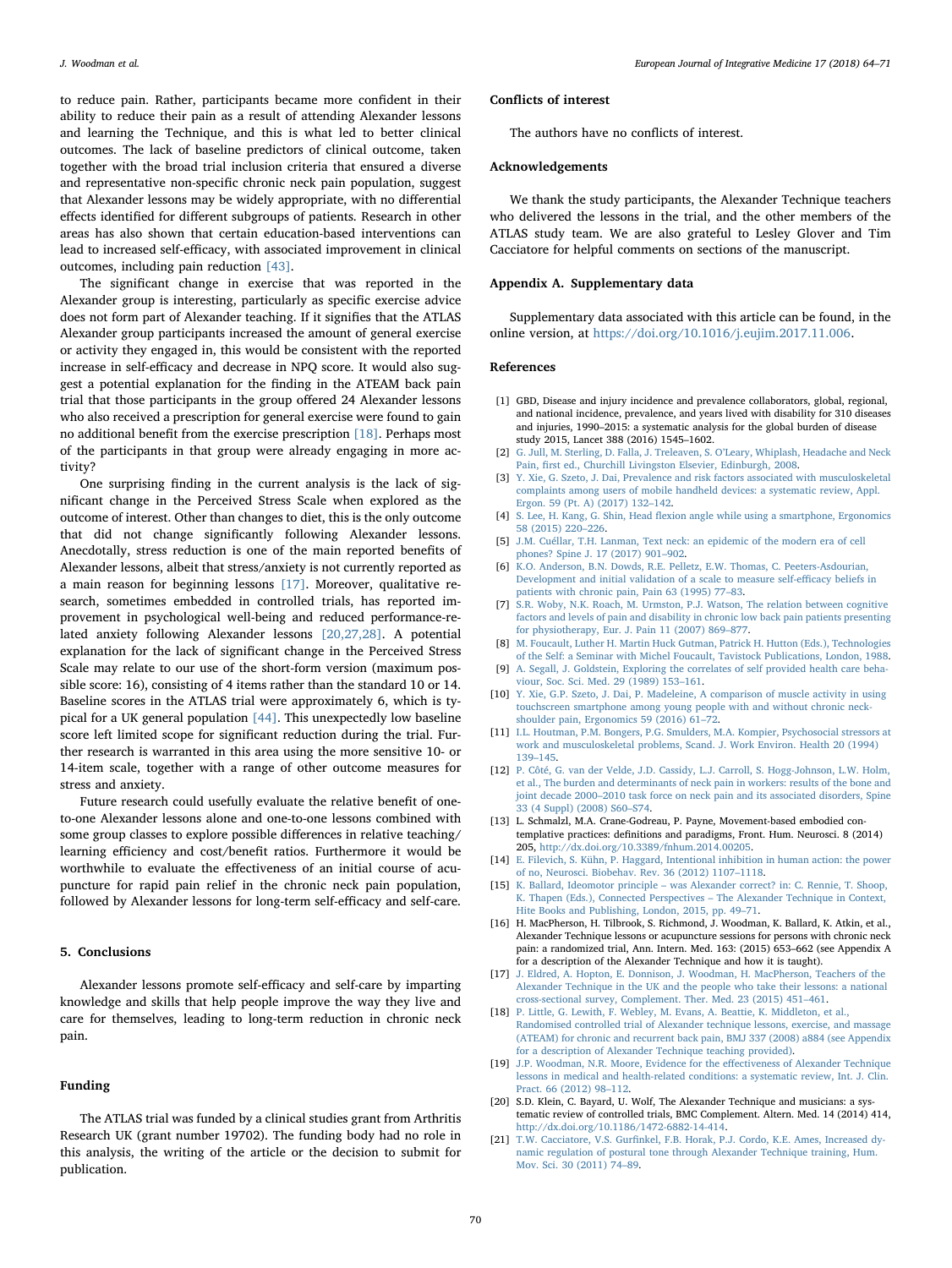to reduce pain. Rather, participants became more confident in their ability to reduce their pain as a result of attending Alexander lessons and learning the Technique, and this is what led to better clinical outcomes. The lack of baseline predictors of clinical outcome, taken together with the broad trial inclusion criteria that ensured a diverse and representative non-specific chronic neck pain population, suggest that Alexander lessons may be widely appropriate, with no differential effects identified for different subgroups of patients. Research in other areas has also shown that certain education-based interventions can lead to increased self-efficacy, with associated improvement in clinical outcomes, including pain reduction [\[43\].](#page-7-12)

The significant change in exercise that was reported in the Alexander group is interesting, particularly as specific exercise advice does not form part of Alexander teaching. If it signifies that the ATLAS Alexander group participants increased the amount of general exercise or activity they engaged in, this would be consistent with the reported increase in self-efficacy and decrease in NPQ score. It would also suggest a potential explanation for the finding in the ATEAM back pain trial that those participants in the group offered 24 Alexander lessons who also received a prescription for general exercise were found to gain no additional benefit from the exercise prescription [\[18\].](#page-6-10) Perhaps most of the participants in that group were already engaging in more activity?

One surprising finding in the current analysis is the lack of significant change in the Perceived Stress Scale when explored as the outcome of interest. Other than changes to diet, this is the only outcome that did not change significantly following Alexander lessons. Anecdotally, stress reduction is one of the main reported benefits of Alexander lessons, albeit that stress/anxiety is not currently reported as a main reason for beginning lessons [\[17\]](#page-6-6). Moreover, qualitative research, sometimes embedded in controlled trials, has reported improvement in psychological well-being and reduced performance-related anxiety following Alexander lessons [\[20,27,28\]](#page-6-9). A potential explanation for the lack of significant change in the Perceived Stress Scale may relate to our use of the short-form version (maximum possible score: 16), consisting of 4 items rather than the standard 10 or 14. Baseline scores in the ATLAS trial were approximately 6, which is typical for a UK general population [\[44\].](#page-7-13) This unexpectedly low baseline score left limited scope for significant reduction during the trial. Further research is warranted in this area using the more sensitive 10- or 14-item scale, together with a range of other outcome measures for stress and anxiety.

Future research could usefully evaluate the relative benefit of oneto-one Alexander lessons alone and one-to-one lessons combined with some group classes to explore possible differences in relative teaching/ learning efficiency and cost/benefit ratios. Furthermore it would be worthwhile to evaluate the effectiveness of an initial course of acupuncture for rapid pain relief in the chronic neck pain population, followed by Alexander lessons for long-term self-efficacy and self-care.

## 5. Conclusions

Alexander lessons promote self-efficacy and self-care by imparting knowledge and skills that help people improve the way they live and care for themselves, leading to long-term reduction in chronic neck pain.

#### Funding

The ATLAS trial was funded by a clinical studies grant from Arthritis Research UK (grant number 19702). The funding body had no role in this analysis, the writing of the article or the decision to submit for publication.

#### Conflicts of interest

The authors have no conflicts of interest.

#### Acknowledgements

We thank the study participants, the Alexander Technique teachers who delivered the lessons in the trial, and the other members of the ATLAS study team. We are also grateful to Lesley Glover and Tim Cacciatore for helpful comments on sections of the manuscript.

#### Appendix A. Supplementary data

Supplementary data associated with this article can be found, in the online version, at [https://doi.org/10.1016/j.eujim.2017.11.006.](https://doi.org/10.1016/j.eujim.2017.11.006)

#### References

- <span id="page-6-0"></span>[1] GBD, Disease and injury incidence and prevalence collaborators, global, regional, and national incidence, prevalence, and years lived with disability for 310 diseases and injuries, 1990–2015: a systematic analysis for the global burden of disease study 2015, Lancet 388 (2016) 1545–1602.
- <span id="page-6-1"></span>[2] [G. Jull, M. Sterling, D. Falla, J. Treleaven, S. O](http://refhub.elsevier.com/S1876-3820(17)30233-0/sbref0010)'Leary, Whiplash, Headache and Neck Pain, fi[rst ed., Churchill Livingston Elsevier, Edinburgh, 2008.](http://refhub.elsevier.com/S1876-3820(17)30233-0/sbref0010)
- <span id="page-6-2"></span>[3] [Y. Xie, G. Szeto, J. Dai, Prevalence and risk factors associated with musculoskeletal](http://refhub.elsevier.com/S1876-3820(17)30233-0/sbref0015) [complaints among users of mobile handheld devices: a systematic review, Appl.](http://refhub.elsevier.com/S1876-3820(17)30233-0/sbref0015) [Ergon. 59 \(Pt. A\) \(2017\) 132](http://refhub.elsevier.com/S1876-3820(17)30233-0/sbref0015)–142.
- [4] S. Lee, H. Kang, G. Shin, Head fl[exion angle while using a smartphone, Ergonomics](http://refhub.elsevier.com/S1876-3820(17)30233-0/sbref0020) [58 \(2015\) 220](http://refhub.elsevier.com/S1876-3820(17)30233-0/sbref0020)–226.
- [5] [J.M. Cuéllar, T.H. Lanman, Text neck: an epidemic of the modern era of cell](http://refhub.elsevier.com/S1876-3820(17)30233-0/sbref0025) [phones? Spine J. 17 \(2017\) 901](http://refhub.elsevier.com/S1876-3820(17)30233-0/sbref0025)–902.
- <span id="page-6-3"></span>[6] [K.O. Anderson, B.N. Dowds, R.E. Pelletz, E.W. Thomas, C. Peeters-Asdourian,](http://refhub.elsevier.com/S1876-3820(17)30233-0/sbref0030) [Development and initial validation of a scale to measure self-e](http://refhub.elsevier.com/S1876-3820(17)30233-0/sbref0030)fficacy beliefs in [patients with chronic pain, Pain 63 \(1995\) 77](http://refhub.elsevier.com/S1876-3820(17)30233-0/sbref0030)–83.
- [7] [S.R. Woby, N.K. Roach, M. Urmston, P.J. Watson, The relation between cognitive](http://refhub.elsevier.com/S1876-3820(17)30233-0/sbref0035) [factors and levels of pain and disability in chronic low back pain patients presenting](http://refhub.elsevier.com/S1876-3820(17)30233-0/sbref0035) [for physiotherapy, Eur. J. Pain 11 \(2007\) 869](http://refhub.elsevier.com/S1876-3820(17)30233-0/sbref0035)–877.
- <span id="page-6-4"></span>[8] [M. Foucault, Luther H. Martin Huck Gutman, Patrick H. Hutton \(Eds.\), Technologies](http://refhub.elsevier.com/S1876-3820(17)30233-0/sbref0040) [of the Self: a Seminar with Michel Foucault, Tavistock Publications, London, 1988.](http://refhub.elsevier.com/S1876-3820(17)30233-0/sbref0040)
- [9] [A. Segall, J. Goldstein, Exploring the correlates of self provided health care beha](http://refhub.elsevier.com/S1876-3820(17)30233-0/sbref0045)[viour, Soc. Sci. Med. 29 \(1989\) 153](http://refhub.elsevier.com/S1876-3820(17)30233-0/sbref0045)–161.
- [10] [Y. Xie, G.P. Szeto, J. Dai, P. Madeleine, A comparison of muscle activity in using](http://refhub.elsevier.com/S1876-3820(17)30233-0/sbref0050) [touchscreen smartphone among young people with and without chronic neck](http://refhub.elsevier.com/S1876-3820(17)30233-0/sbref0050)[shoulder pain, Ergonomics 59 \(2016\) 61](http://refhub.elsevier.com/S1876-3820(17)30233-0/sbref0050)–72.
- [11] [I.L. Houtman, P.M. Bongers, P.G. Smulders, M.A. Kompier, Psychosocial stressors at](http://refhub.elsevier.com/S1876-3820(17)30233-0/sbref0055) [work and musculoskeletal problems, Scand. J. Work Environ. Health 20 \(1994\)](http://refhub.elsevier.com/S1876-3820(17)30233-0/sbref0055) 139–[145.](http://refhub.elsevier.com/S1876-3820(17)30233-0/sbref0055)
- [12] [P. Côté, G. van der Velde, J.D. Cassidy, L.J. Carroll, S. Hogg-Johnson, L.W. Holm,](http://refhub.elsevier.com/S1876-3820(17)30233-0/sbref0060) [et al., The burden and determinants of neck pain in workers: results of the bone and](http://refhub.elsevier.com/S1876-3820(17)30233-0/sbref0060) joint decade 2000–[2010 task force on neck pain and its associated disorders, Spine](http://refhub.elsevier.com/S1876-3820(17)30233-0/sbref0060) [33 \(4 Suppl\) \(2008\) S60](http://refhub.elsevier.com/S1876-3820(17)30233-0/sbref0060)–S74.
- <span id="page-6-5"></span>[13] L. Schmalzl, M.A. Crane-Godreau, P. Payne, Movement-based embodied contemplative practices: definitions and paradigms, Front. Hum. Neurosci. 8 (2014) 205, [http://dx.doi.org/10.3389/fnhum.2014.00205.](http://dx.doi.org/10.3389/fnhum.2014.00205)
- [14] [E. Filevich, S. Kühn, P. Haggard, Intentional inhibition in human action: the power](http://refhub.elsevier.com/S1876-3820(17)30233-0/sbref0070) [of no, Neurosci. Biobehav. Rev. 36 \(2012\) 1107](http://refhub.elsevier.com/S1876-3820(17)30233-0/sbref0070)–1118.
- [15] K. Ballard, Ideomotor principle was [Alexander correct? in: C. Rennie, T. Shoop,](http://refhub.elsevier.com/S1876-3820(17)30233-0/sbref0075) [K. Thapen \(Eds.\), Connected Perspectives](http://refhub.elsevier.com/S1876-3820(17)30233-0/sbref0075) – The Alexander Technique in Context, [Hite Books and Publishing, London, 2015, pp. 49](http://refhub.elsevier.com/S1876-3820(17)30233-0/sbref0075)–71.
- <span id="page-6-11"></span>[16] H. MacPherson, H. Tilbrook, S. Richmond, J. Woodman, K. Ballard, K. Atkin, et al., Alexander Technique lessons or acupuncture sessions for persons with chronic neck pain: a randomized trial, Ann. Intern. Med. 163: (2015) 653–662 (see Appendix A for a description of the Alexander Technique and how it is taught).
- <span id="page-6-6"></span>[17] [J. Eldred, A. Hopton, E. Donnison, J. Woodman, H. MacPherson, Teachers of the](http://refhub.elsevier.com/S1876-3820(17)30233-0/sbref0085) [Alexander Technique in the UK and the people who take their lessons: a national](http://refhub.elsevier.com/S1876-3820(17)30233-0/sbref0085) [cross-sectional survey, Complement. Ther. Med. 23 \(2015\) 451](http://refhub.elsevier.com/S1876-3820(17)30233-0/sbref0085)–461.
- <span id="page-6-10"></span>[18] [P. Little, G. Lewith, F. Webley, M. Evans, A. Beattie, K. Middleton, et al.,](http://refhub.elsevier.com/S1876-3820(17)30233-0/sbref0090) [Randomised controlled trial of Alexander technique lessons, exercise, and massage](http://refhub.elsevier.com/S1876-3820(17)30233-0/sbref0090) [\(ATEAM\) for chronic and recurrent back pain, BMJ 337 \(2008\) a884 \(see Appendix](http://refhub.elsevier.com/S1876-3820(17)30233-0/sbref0090) [for a description of Alexander Technique teaching provided\).](http://refhub.elsevier.com/S1876-3820(17)30233-0/sbref0090)
- <span id="page-6-7"></span>[19] [J.P. Woodman, N.R. Moore, Evidence for the e](http://refhub.elsevier.com/S1876-3820(17)30233-0/sbref0095)ffectiveness of Alexander Technique [lessons in medical and health-related conditions: a systematic review, Int. J. Clin.](http://refhub.elsevier.com/S1876-3820(17)30233-0/sbref0095) [Pract. 66 \(2012\) 98](http://refhub.elsevier.com/S1876-3820(17)30233-0/sbref0095)–112.
- <span id="page-6-9"></span>[20] S.D. Klein, C. Bayard, U. Wolf, The Alexander Technique and musicians: a systematic review of controlled trials, BMC Complement. Altern. Med. 14 (2014) 414, [http://dx.doi.org/10.1186/1472-6882-14-414.](http://dx.doi.org/10.1186/1472-6882-14-414)
- <span id="page-6-8"></span>[21] T.W. Cacciatore, V.S. Gurfi[nkel, F.B. Horak, P.J. Cordo, K.E. Ames, Increased dy](http://refhub.elsevier.com/S1876-3820(17)30233-0/sbref0105)[namic regulation of postural tone through Alexander Technique training, Hum.](http://refhub.elsevier.com/S1876-3820(17)30233-0/sbref0105) [Mov. Sci. 30 \(2011\) 74](http://refhub.elsevier.com/S1876-3820(17)30233-0/sbref0105)–89.